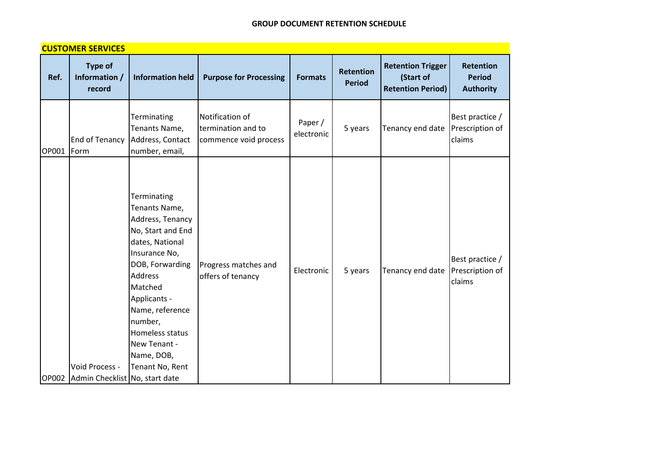|       | <b>CUSTOMER SERVICES</b>                               |                                                                                                                                                                                                                                                                             |                                                                |                       |                                   |                                                                   |                                                |
|-------|--------------------------------------------------------|-----------------------------------------------------------------------------------------------------------------------------------------------------------------------------------------------------------------------------------------------------------------------------|----------------------------------------------------------------|-----------------------|-----------------------------------|-------------------------------------------------------------------|------------------------------------------------|
| Ref.  | <b>Type of</b><br>Information /<br>record              | <b>Information held</b>                                                                                                                                                                                                                                                     | <b>Purpose for Processing</b>                                  | <b>Formats</b>        | <b>Retention</b><br><b>Period</b> | <b>Retention Trigger</b><br>(Start of<br><b>Retention Period)</b> | Retention<br><b>Period</b><br><b>Authority</b> |
| OP001 | <b>End of Tenancy</b><br>Form                          | Terminating<br>Tenants Name,<br>Address, Contact<br>number, email,                                                                                                                                                                                                          | Notification of<br>termination and to<br>commence void process | Paper /<br>electronic | 5 years                           | Tenancy end date                                                  | Best practice /<br>Prescription of<br>claims   |
|       | Void Process -<br>OP002 Admin Checklist No, start date | Terminating<br>Tenants Name,<br>Address, Tenancy<br>No, Start and End<br>dates, National<br>Insurance No,<br>DOB, Forwarding<br><b>Address</b><br>Matched<br>Applicants -<br>Name, reference<br>number,<br>Homeless status<br>New Tenant -<br>Name, DOB,<br>Tenant No, Rent | Progress matches and<br>offers of tenancy                      | Electronic            | 5 years                           | Tenancy end date                                                  | Best practice /<br>Prescription of<br>claims   |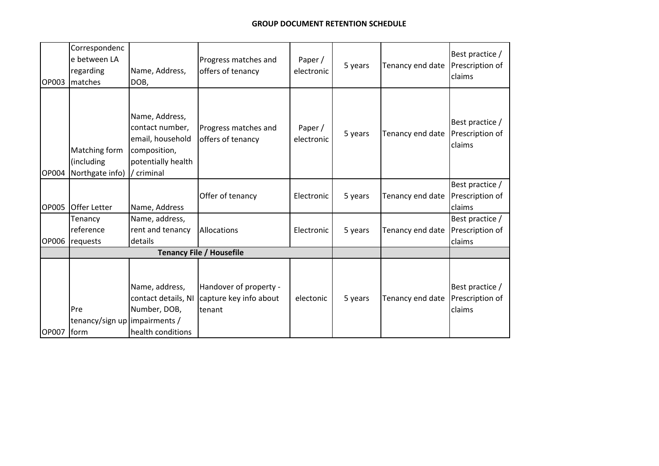| <b>OP003</b> | Correspondenc<br>e between LA<br>regarding<br><b>Imatches</b> | Name, Address,<br>DOB,                                                                                    | Progress matches and<br>offers of tenancy                  | Paper /<br>electronic | 5 years | Tenancy end date | Best practice /<br>Prescription of<br>claims |
|--------------|---------------------------------------------------------------|-----------------------------------------------------------------------------------------------------------|------------------------------------------------------------|-----------------------|---------|------------------|----------------------------------------------|
| <b>OP004</b> | Matching form<br>(including<br>Northgate info)                | Name, Address,<br>contact number,<br>email, household<br>composition,<br>potentially health<br>/ criminal | Progress matches and<br>offers of tenancy                  | Paper/<br>electronic  | 5 years | Tenancy end date | Best practice /<br>Prescription of<br>claims |
| <b>OP005</b> | <b>Offer Letter</b>                                           | Name, Address                                                                                             | Offer of tenancy                                           | Electronic            | 5 years | Tenancy end date | Best practice<br>Prescription of<br>claims   |
| OP006        | Tenancy<br>reference<br>requests                              | Name, address,<br>rent and tenancy<br>details                                                             | Allocations                                                | Electronic            | 5 years | Tenancy end date | Best practice /<br>Prescription of<br>claims |
|              |                                                               |                                                                                                           | <b>Tenancy File / Housefile</b>                            |                       |         |                  |                                              |
| OP007 form   | Pre<br>tenancy/sign up impairments /                          | Name, address,<br>contact details, NI<br>Number, DOB,<br>health conditions                                | Handover of property -<br>capture key info about<br>tenant | electonic             | 5 years | Tenancy end date | Best practice /<br>Prescription of<br>claims |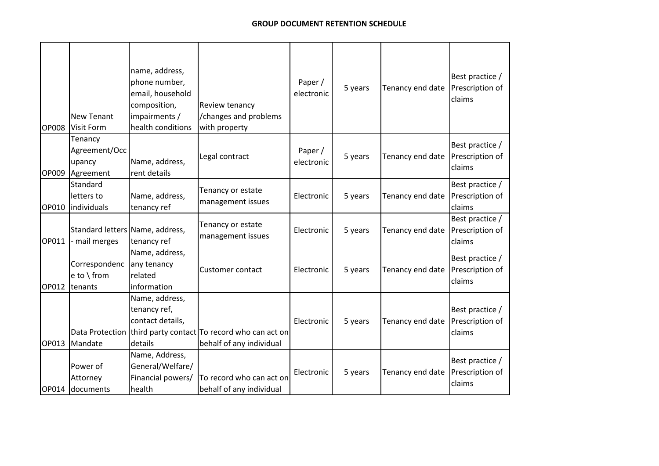| <b>OP008</b> | <b>New Tenant</b><br><b>Visit Form</b>           | name, address,<br>phone number,<br>email, household<br>composition,<br>impairments /<br>health conditions | Review tenancy<br>/changes and problems<br>with property                                 | Paper /<br>electronic | 5 years | Tenancy end date | Best practice /<br>Prescription of<br>claims |
|--------------|--------------------------------------------------|-----------------------------------------------------------------------------------------------------------|------------------------------------------------------------------------------------------|-----------------------|---------|------------------|----------------------------------------------|
| OP009        | Tenancy<br>Agreement/Occ<br>upancy<br>Agreement  | Name, address,<br>rent details                                                                            | Legal contract                                                                           | Paper /<br>electronic | 5 years | Tenancy end date | Best practice /<br>Prescription of<br>claims |
| OP010        | Standard<br>letters to<br>individuals            | Name, address,<br>tenancy ref                                                                             | Tenancy or estate<br>management issues                                                   | Electronic            | 5 years | Tenancy end date | Best practice /<br>Prescription of<br>claims |
| OP011        | Standard letters Name, address,<br>- mail merges | tenancy ref                                                                                               | Tenancy or estate<br>management issues                                                   | Electronic            | 5 years | Tenancy end date | Best practice /<br>Prescription of<br>claims |
| OP012        | Correspondenc<br>e to \ from<br>tenants          | Name, address,<br>any tenancy<br>related<br>information                                                   | <b>Customer contact</b>                                                                  | Electronic            | 5 years | Tenancy end date | Best practice /<br>Prescription of<br>claims |
| OP013        | Mandate                                          | Name, address,<br>tenancy ref,<br>contact details,<br>details                                             | Data Protection third party contact To record who can act on<br>behalf of any individual | Electronic            | 5 years | Tenancy end date | Best practice /<br>Prescription of<br>claims |
| OP014        | Power of<br>Attorney<br>documents                | Name, Address,<br>General/Welfare/<br>Financial powers/<br>health                                         | To record who can act on<br>behalf of any individual                                     | Electronic            | 5 years | Tenancy end date | Best practice /<br>Prescription of<br>claims |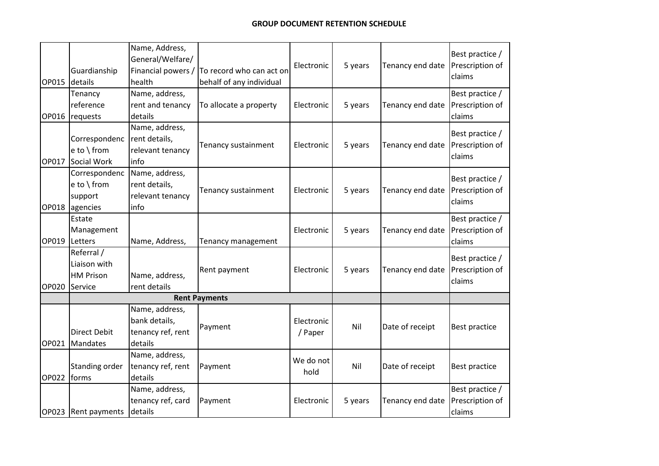|       |                         | Name, Address,<br>General/Welfare/ |                                                      | Electronic | 5 years | Tenancy end date | Best practice /<br>Prescription of |
|-------|-------------------------|------------------------------------|------------------------------------------------------|------------|---------|------------------|------------------------------------|
| OP015 | Guardianship<br>details | Financial powers /<br>health       | To record who can act on<br>behalf of any individual |            |         |                  | claims                             |
|       | Tenancy                 | Name, address,                     |                                                      |            |         |                  | Best practice /                    |
|       | reference               | rent and tenancy                   | To allocate a property                               | Electronic | 5 years | Tenancy end date | Prescription of                    |
| OP016 | requests                | details                            |                                                      |            |         |                  | claims                             |
|       |                         | Name, address,                     |                                                      |            |         |                  | Best practice /                    |
|       | Correspondenc           | rent details,                      | Tenancy sustainment                                  | Electronic |         | Tenancy end date | Prescription of                    |
|       | e to \from              | relevant tenancy                   |                                                      |            | 5 years |                  | claims                             |
| OP017 | Social Work             | info                               |                                                      |            |         |                  |                                    |
|       | Correspondenc           | Name, address,                     |                                                      |            |         |                  | Best practice /                    |
|       | e to \from              | rent details,                      | Tenancy sustainment                                  | Electronic | 5 years | Tenancy end date | Prescription of                    |
|       | support                 | relevant tenancy                   |                                                      |            |         |                  | claims                             |
| OP018 | agencies                | info                               |                                                      |            |         |                  |                                    |
|       | Estate                  |                                    |                                                      |            |         |                  | Best practice /                    |
|       | Management              |                                    |                                                      | Electronic | 5 years | Tenancy end date | Prescription of                    |
| OP019 | Letters                 | Name, Address,                     | Tenancy management                                   |            |         |                  | claims                             |
|       | Referral /              |                                    |                                                      |            |         |                  | Best practice /                    |
|       | Liaison with            |                                    | Rent payment                                         | Electronic | 5 years | Tenancy end date | Prescription of                    |
|       | <b>HM Prison</b>        | Name, address,                     |                                                      |            |         |                  | claims                             |
| OP020 | Service                 | rent details                       |                                                      |            |         |                  |                                    |
|       |                         |                                    | <b>Rent Payments</b>                                 |            |         |                  |                                    |
|       |                         | Name, address,                     |                                                      |            |         |                  |                                    |
|       |                         | bank details,                      | Payment                                              | Electronic | Nil     | Date of receipt  | Best practice                      |
|       | <b>Direct Debit</b>     | tenancy ref, rent                  |                                                      | / Paper    |         |                  |                                    |
| OP021 | Mandates                | details                            |                                                      |            |         |                  |                                    |
|       |                         | Name, address,                     |                                                      | We do not  |         |                  |                                    |
|       | Standing order          | tenancy ref, rent                  | Payment                                              | hold       | Nil     | Date of receipt  | Best practice                      |
| OP022 | forms                   | details                            |                                                      |            |         |                  |                                    |
|       |                         | Name, address,                     |                                                      |            |         |                  | Best practice /                    |
|       |                         | tenancy ref, card                  | Payment                                              | Electronic | 5 years | Tenancy end date | Prescription of                    |
|       | OP023 Rent payments     | details                            |                                                      |            |         |                  | claims                             |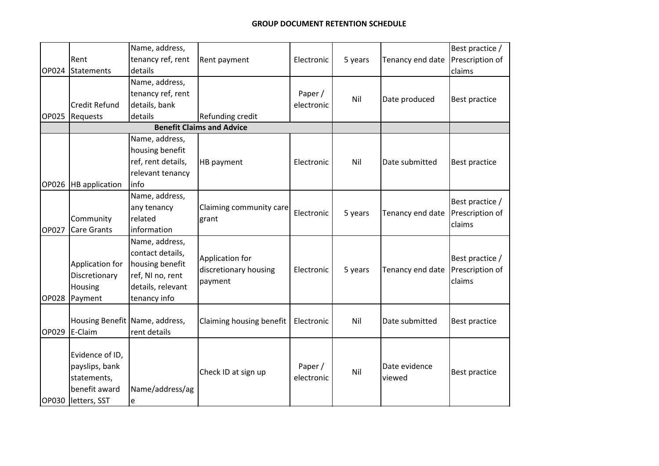| OP024 | Rent<br>Statements                                                                       | Name, address,<br>tenancy ref, rent<br>details                                                                 | Rent payment                                        | Electronic            | 5 years | Tenancy end date        | Best practice /<br>Prescription of<br>claims |
|-------|------------------------------------------------------------------------------------------|----------------------------------------------------------------------------------------------------------------|-----------------------------------------------------|-----------------------|---------|-------------------------|----------------------------------------------|
| OP025 | Credit Refund<br>Requests                                                                | Name, address,<br>tenancy ref, rent<br>details, bank<br>details                                                | Refunding credit                                    | Paper /<br>electronic | Nil     | Date produced           | Best practice                                |
|       |                                                                                          |                                                                                                                | <b>Benefit Claims and Advice</b>                    |                       |         |                         |                                              |
|       | OP026  HB application                                                                    | Name, address,<br>housing benefit<br>ref, rent details,<br>relevant tenancy<br>info                            | HB payment                                          | Electronic            | Nil     | Date submitted          | <b>Best practice</b>                         |
| OP027 | Community<br><b>Care Grants</b>                                                          | Name, address,<br>any tenancy<br>related<br>information                                                        | Claiming community care<br>grant                    | Electronic            | 5 years | Tenancy end date        | Best practice /<br>Prescription of<br>claims |
| OP028 | Application for<br>Discretionary<br>Housing<br>Payment                                   | Name, address,<br>contact details,<br>housing benefit<br>ref, NI no, rent<br>details, relevant<br>tenancy info | Application for<br>discretionary housing<br>payment | Electronic            | 5 years | Tenancy end date        | Best practice /<br>Prescription of<br>claims |
| OP029 | Housing Benefit Name, address,<br>E-Claim                                                | rent details                                                                                                   | Claiming housing benefit                            | Electronic            | Nil     | Date submitted          | Best practice                                |
|       | Evidence of ID,<br>payslips, bank<br>statements,<br>benefit award<br>OP030  letters, SST | Name/address/ag<br>e                                                                                           | Check ID at sign up                                 | Paper /<br>electronic | Nil     | Date evidence<br>viewed | Best practice                                |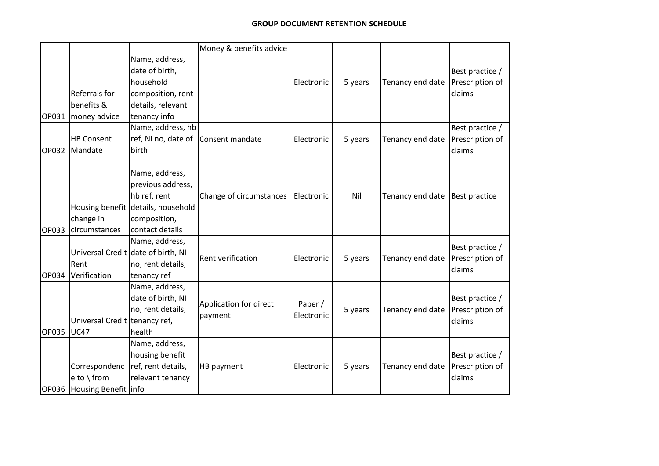|       |                               |                                     | Money & benefits advice  |            |         |                  |                      |
|-------|-------------------------------|-------------------------------------|--------------------------|------------|---------|------------------|----------------------|
|       |                               | Name, address,                      |                          |            |         |                  |                      |
|       |                               | date of birth,                      |                          |            |         |                  | Best practice /      |
|       |                               | household                           |                          | Electronic | 5 years | Tenancy end date | Prescription of      |
|       | Referrals for                 | composition, rent                   |                          |            |         |                  | claims               |
|       | benefits &                    | details, relevant                   |                          |            |         |                  |                      |
| OP031 | money advice                  | tenancy info                        |                          |            |         |                  |                      |
|       |                               | Name, address, hb                   |                          |            |         |                  | Best practice /      |
|       | <b>HB Consent</b>             | ref, NI no, date of Consent mandate |                          | Electronic | 5 years | Tenancy end date | Prescription of      |
|       | OP032 Mandate                 | birth                               |                          |            |         |                  | claims               |
|       |                               |                                     |                          |            |         |                  |                      |
|       |                               | Name, address,                      |                          |            |         |                  |                      |
|       |                               | previous address,                   |                          |            |         |                  |                      |
|       |                               | hb ref, rent                        | Change of circumstances  | Electronic | Nil     | Tenancy end date | <b>Best practice</b> |
|       |                               | Housing benefit details, household  |                          |            |         |                  |                      |
|       | change in                     | composition,                        |                          |            |         |                  |                      |
| OP033 | circumstances                 | contact details                     |                          |            |         |                  |                      |
|       |                               | Name, address,                      |                          |            |         |                  | Best practice /      |
|       |                               | Universal Credit date of birth, NI  | <b>Rent verification</b> | Electronic | 5 years | Tenancy end date | Prescription of      |
|       | Rent                          | no, rent details,                   |                          |            |         |                  | claims               |
| OP034 | Verification                  | tenancy ref                         |                          |            |         |                  |                      |
|       |                               | Name, address,                      |                          |            |         |                  |                      |
|       |                               | date of birth, NI                   | Application for direct   | Paper /    |         |                  | Best practice /      |
|       |                               | no, rent details,                   | payment                  | Electronic | 5 years | Tenancy end date | Prescription of      |
|       | Universal Credit tenancy ref, |                                     |                          |            |         |                  | claims               |
| OP035 | <b>UC47</b>                   | health                              |                          |            |         |                  |                      |
|       |                               | Name, address,                      |                          |            |         |                  |                      |
|       |                               | housing benefit                     |                          |            |         |                  | Best practice /      |
|       | Correspondenc                 | ref, rent details,                  | HB payment               | Electronic | 5 years | Tenancy end date | Prescription of      |
|       | e to \ from                   | relevant tenancy                    |                          |            |         |                  | claims               |
|       | OP036 Housing Benefit linfo   |                                     |                          |            |         |                  |                      |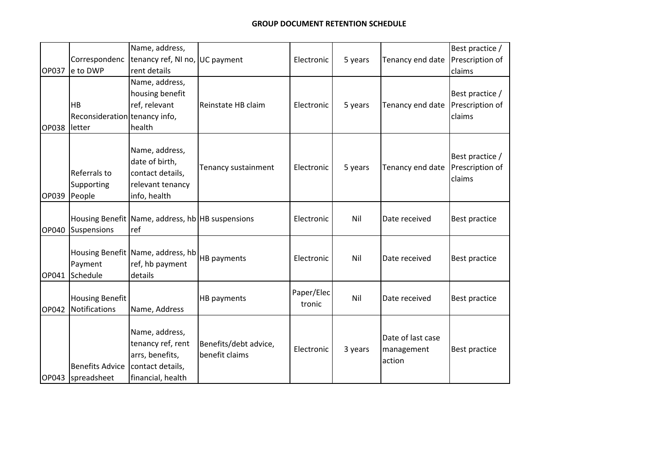| OP037 | Correspondenc<br>e to DWP                     | Name, address,<br>tenancy ref, NI no, UC payment<br>rent details                                |                                         | Electronic           | 5 years | Tenancy end date                          | Best practice /<br>Prescription of<br>claims |
|-------|-----------------------------------------------|-------------------------------------------------------------------------------------------------|-----------------------------------------|----------------------|---------|-------------------------------------------|----------------------------------------------|
| OP038 | HB<br>Reconsideration tenancy info,<br>letter | Name, address,<br>housing benefit<br>ref, relevant<br>health                                    | Reinstate HB claim                      | Electronic           | 5 years | Tenancy end date                          | Best practice /<br>Prescription of<br>claims |
| OP039 | Referrals to<br>Supporting<br>People          | Name, address,<br>date of birth,<br>contact details,<br>relevant tenancy<br>info, health        | Tenancy sustainment                     | Electronic           | 5 years | Tenancy end date                          | Best practice /<br>Prescription of<br>claims |
| OP040 | Suspensions                                   | Housing Benefit Name, address, hb HB suspensions<br>ref                                         |                                         | Electronic           | Nil     | Date received                             | Best practice                                |
| OP041 | Payment<br>Schedule                           | Housing Benefit Name, address, hb<br>ref, hb payment<br>details                                 | HB payments                             | Electronic           | Nil     | Date received                             | Best practice                                |
| OP042 | <b>Housing Benefit</b><br>Notifications       | Name, Address                                                                                   | HB payments                             | Paper/Elec<br>tronic | Nil     | Date received                             | Best practice                                |
|       | <b>Benefits Advice</b><br>OP043   spreadsheet | Name, address,<br>tenancy ref, rent<br>arrs, benefits,<br>contact details,<br>financial, health | Benefits/debt advice,<br>benefit claims | Electronic           | 3 years | Date of last case<br>management<br>action | Best practice                                |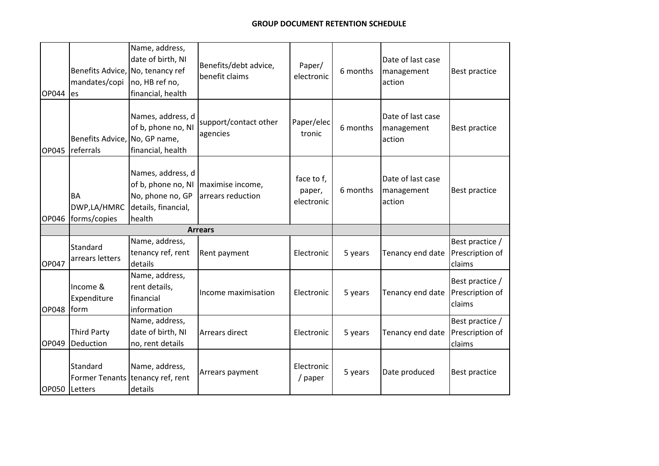| OP044 | Benefits Advice,<br>mandates/copi<br>les   | Name, address,<br>date of birth, NI<br>No, tenancy ref<br>no, HB ref no,<br>financial, health | Benefits/debt advice,<br>benefit claims | Paper/<br>electronic               | 6 months | Date of last case<br>management<br>action | Best practice                                |
|-------|--------------------------------------------|-----------------------------------------------------------------------------------------------|-----------------------------------------|------------------------------------|----------|-------------------------------------------|----------------------------------------------|
| OP045 | Benefits Advice, No, GP name,<br>referrals | Names, address, d<br>of b, phone no, NI<br>financial, health                                  | support/contact other<br>agencies       | Paper/elec<br>tronic               | 6 months | Date of last case<br>management<br>action | Best practice                                |
| OP046 | <b>BA</b><br>DWP,LA/HMRC<br>forms/copies   | Names, address, d<br>of b, phone no, NI<br>No, phone no, GP<br>details, financial,<br>health  | maximise income,<br>arrears reduction   | face to f,<br>paper,<br>electronic | 6 months | Date of last case<br>management<br>action | Best practice                                |
|       |                                            |                                                                                               | <b>Arrears</b>                          |                                    |          |                                           |                                              |
| OP047 | Standard<br>arrears letters                | Name, address,<br>tenancy ref, rent<br>details                                                | Rent payment                            | Electronic                         | 5 years  | Tenancy end date                          | Best practice /<br>Prescription of<br>claims |
| OP048 | Income &<br>Expenditure<br><b>form</b>     | Name, address,<br>rent details,<br>financial<br>information                                   | Income maximisation                     | Electronic                         | 5 years  | Tenancy end date                          | Best practice /<br>Prescription of<br>claims |
| OP049 | <b>Third Party</b><br>Deduction            | Name, address,<br>date of birth, NI<br>no, rent details                                       | <b>Arrears direct</b>                   | Electronic                         | 5 years  | Tenancy end date                          | Best practice /<br>Prescription of<br>claims |
|       | Standard<br>OP050 Letters                  | Name, address,<br>Former Tenants tenancy ref, rent<br>details                                 | Arrears payment                         | Electronic<br>/ paper              | 5 years  | Date produced                             | Best practice                                |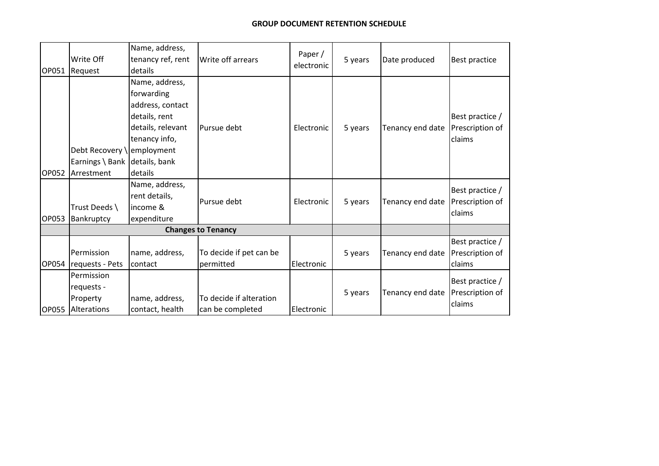| OP051 | Write Off<br>Request                                                     | Name, address,<br>tenancy ref, rent<br>details                                                                     | Write off arrears                           | Paper /<br>electronic | 5 years | Date produced    | <b>Best practice</b>                         |
|-------|--------------------------------------------------------------------------|--------------------------------------------------------------------------------------------------------------------|---------------------------------------------|-----------------------|---------|------------------|----------------------------------------------|
| OP052 | Debt Recovery \employment<br>Earnings \ Bank details, bank<br>Arrestment | Name, address,<br>forwarding<br>address, contact<br>details, rent<br>details, relevant<br>tenancy info,<br>details | Pursue debt                                 | Electronic            | 5 years | Tenancy end date | Best practice /<br>Prescription of<br>claims |
| OP053 | Trust Deeds \<br>Bankruptcy                                              | Name, address,<br>rent details,<br>income &<br>expenditure                                                         | Pursue debt                                 | Electronic            | 5 years | Tenancy end date | Best practice /<br>Prescription of<br>claims |
|       |                                                                          |                                                                                                                    | <b>Changes to Tenancy</b>                   |                       |         |                  |                                              |
| OP054 | Permission<br>requests - Pets                                            | name, address,<br>contact                                                                                          | To decide if pet can be<br>permitted        | Electronic            | 5 years | Tenancy end date | Best practice /<br>Prescription of<br>claims |
| OP055 | Permission<br>requests -<br>Property<br>Alterations                      | name, address,<br>contact, health                                                                                  | To decide if alteration<br>can be completed | Electronic            | 5 years | Tenancy end date | Best practice /<br>Prescription of<br>claims |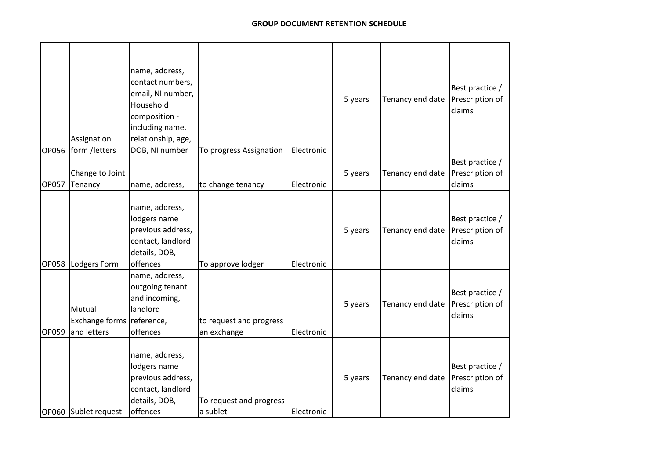| OP056        | Assignation<br>form /letters                       | name, address,<br>contact numbers,<br>email, NI number,<br>Household<br>composition -<br>including name,<br>relationship, age,<br>DOB, NI number | To progress Assignation                | Electronic | 5 years | Tenancy end date | Best practice /<br>Prescription of<br>claims |
|--------------|----------------------------------------------------|--------------------------------------------------------------------------------------------------------------------------------------------------|----------------------------------------|------------|---------|------------------|----------------------------------------------|
| <b>OP057</b> | Change to Joint<br>Tenancy                         | name, address,                                                                                                                                   | to change tenancy                      | Electronic | 5 years | Tenancy end date | Best practice /<br>Prescription of<br>claims |
| <b>OP058</b> | Lodgers Form                                       | name, address,<br>lodgers name<br>previous address,<br>contact, landlord<br>details, DOB,<br>offences                                            | To approve lodger                      | Electronic | 5 years | Tenancy end date | Best practice /<br>Prescription of<br>claims |
| OP059        | Mutual<br>Exchange forms reference,<br>and letters | name, address,<br>outgoing tenant<br>and incoming,<br>landlord<br>offences                                                                       | to request and progress<br>an exchange | Electronic | 5 years | Tenancy end date | Best practice /<br>Prescription of<br>claims |
|              | OP060 Sublet request                               | name, address,<br>lodgers name<br>previous address,<br>contact, landlord<br>details, DOB,<br>offences                                            | To request and progress<br>a sublet    | Electronic | 5 years | Tenancy end date | Best practice /<br>Prescription of<br>claims |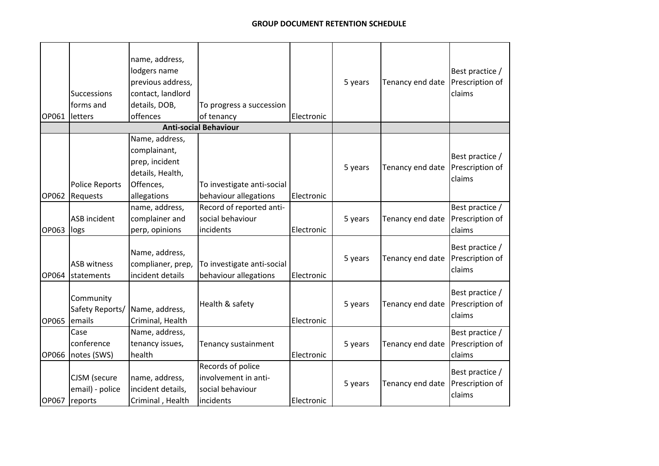| OP061        | <b>Successions</b><br>forms and<br>letters | name, address,<br>lodgers name<br>previous address,<br>contact, landlord<br>details, DOB,<br>offences | To progress a succession<br>of tenancy                                     | Electronic | 5 years | Tenancy end date | Best practice /<br>Prescription of<br>claims |
|--------------|--------------------------------------------|-------------------------------------------------------------------------------------------------------|----------------------------------------------------------------------------|------------|---------|------------------|----------------------------------------------|
|              |                                            |                                                                                                       | <b>Anti-social Behaviour</b>                                               |            |         |                  |                                              |
| OP062        | <b>Police Reports</b><br>Requests          | Name, address,<br>complainant,<br>prep, incident<br>details, Health,<br>Offences,<br>allegations      | To investigate anti-social<br>behaviour allegations                        | Electronic | 5 years | Tenancy end date | Best practice /<br>Prescription of<br>claims |
| OP063        | <b>ASB</b> incident<br>logs                | name, address,<br>complainer and<br>perp, opinions                                                    | Record of reported anti-<br>social behaviour<br>incidents                  | Electronic | 5 years | Tenancy end date | Best practice /<br>Prescription of<br>claims |
| OP064        | <b>ASB witness</b><br>statements           | Name, address,<br>complianer, prep,<br>incident details                                               | To investigate anti-social<br>behaviour allegations                        | Electronic | 5 years | Tenancy end date | Best practice /<br>Prescription of<br>claims |
| <b>OP065</b> | Community<br>Safety Reports/<br>emails     | Name, address,<br>Criminal, Health                                                                    | Health & safety                                                            | Electronic | 5 years | Tenancy end date | Best practice /<br>Prescription of<br>claims |
| OP066        | Case<br>conference<br>notes (SWS)          | Name, address,<br>tenancy issues,<br>health                                                           | Tenancy sustainment                                                        | Electronic | 5 years | Tenancy end date | Best practice /<br>Prescription of<br>claims |
| OP067        | CJSM (secure<br>email) - police<br>reports | name, address,<br>incident details,<br>Criminal, Health                                               | Records of police<br>involvement in anti-<br>social behaviour<br>incidents | Electronic | 5 years | Tenancy end date | Best practice /<br>Prescription of<br>claims |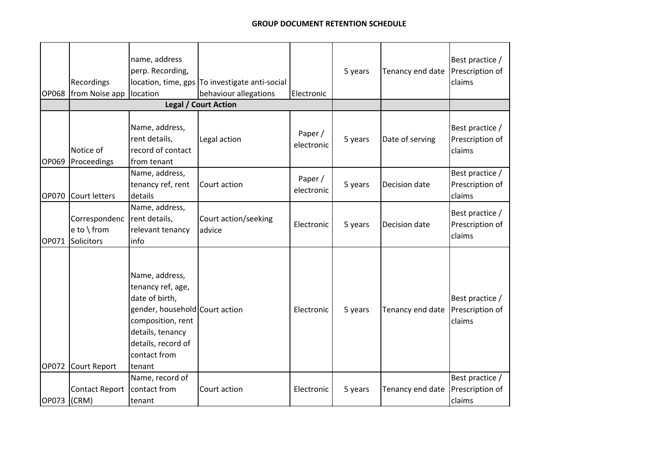| <b>OP068</b> | Recordings<br>from Noise app              | name, address<br>perp. Recording,<br>location                                                                                                                                    | location, time, gps To investigate anti-social<br>behaviour allegations | Electronic            | 5 years | Tenancy end date | Best practice /<br>Prescription of<br>claims |
|--------------|-------------------------------------------|----------------------------------------------------------------------------------------------------------------------------------------------------------------------------------|-------------------------------------------------------------------------|-----------------------|---------|------------------|----------------------------------------------|
|              |                                           |                                                                                                                                                                                  | Legal / Court Action                                                    |                       |         |                  |                                              |
| <b>OP069</b> | Notice of<br>Proceedings                  | Name, address,<br>rent details,<br>record of contact<br>from tenant                                                                                                              | Legal action                                                            | Paper /<br>electronic | 5 years | Date of serving  | Best practice /<br>Prescription of<br>claims |
|              | OP070 Court letters                       | Name, address,<br>tenancy ref, rent<br>details                                                                                                                                   | Court action                                                            | Paper /<br>electronic | 5 years | Decision date    | Best practice /<br>Prescription of<br>claims |
| OP071        | Correspondenc<br>e to \from<br>Solicitors | Name, address,<br>rent details,<br>relevant tenancy<br>info                                                                                                                      | Court action/seeking<br>advice                                          | Electronic            | 5 years | Decision date    | Best practice /<br>Prescription of<br>claims |
| OP072        | Court Report                              | Name, address,<br>tenancy ref, age,<br>date of birth,<br>gender, household Court action<br>composition, rent<br>details, tenancy<br>details, record of<br>contact from<br>tenant |                                                                         | Electronic            | 5 years | Tenancy end date | Best practice /<br>Prescription of<br>claims |
| OP073 (CRM)  | <b>Contact Report</b>                     | Name, record of<br>contact from<br>tenant                                                                                                                                        | Court action                                                            | Electronic            | 5 years | Tenancy end date | Best practice /<br>Prescription of<br>claims |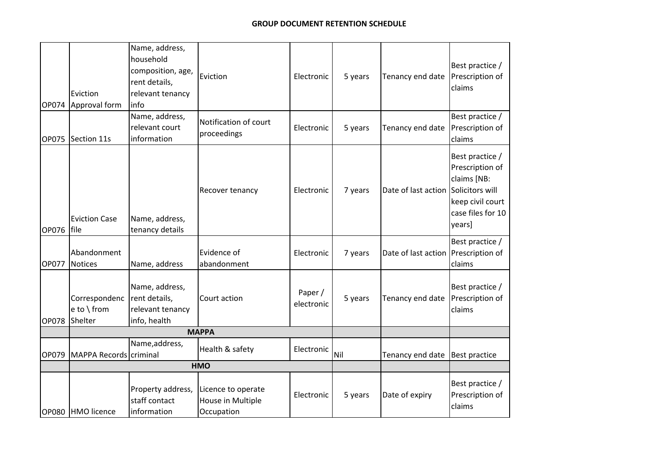| OP074        | Eviction<br>Approval form              | Name, address,<br>household<br>composition, age,<br>rent details,<br>relevant tenancy<br>info | Eviction                                              | Electronic            | 5 years | Tenancy end date    | Best practice /<br>Prescription of<br>claims                                                                            |
|--------------|----------------------------------------|-----------------------------------------------------------------------------------------------|-------------------------------------------------------|-----------------------|---------|---------------------|-------------------------------------------------------------------------------------------------------------------------|
|              | OP075 Section 11s                      | Name, address,<br>relevant court<br>information                                               | Notification of court<br>proceedings                  | Electronic            | 5 years | Tenancy end date    | Best practice /<br>Prescription of<br>claims                                                                            |
| OP076        | <b>Eviction Case</b><br><b>file</b>    | Name, address,<br>tenancy details                                                             | Recover tenancy                                       | Electronic            | 7 years | Date of last action | Best practice /<br>Prescription of<br>claims [NB:<br>Solicitors will<br>keep civil court<br>case files for 10<br>years] |
| <b>OP077</b> | Abandonment<br><b>Notices</b>          | Name, address                                                                                 | Evidence of<br>abandonment                            | Electronic            | 7 years | Date of last action | Best practice /<br>Prescription of<br>claims                                                                            |
| OP078        | Correspondenc<br>e to \from<br>Shelter | Name, address,<br>rent details,<br>relevant tenancy<br>info, health                           | Court action                                          | Paper /<br>electronic | 5 years | Tenancy end date    | Best practice /<br>Prescription of<br>claims                                                                            |
|              |                                        |                                                                                               | <b>MAPPA</b>                                          |                       |         |                     |                                                                                                                         |
| OP079        | MAPPA Records criminal                 | Name, address,                                                                                | Health & safety                                       | Electronic            | Nil     | Tenancy end date    | <b>Best practice</b>                                                                                                    |
|              |                                        |                                                                                               | <b>HMO</b>                                            |                       |         |                     |                                                                                                                         |
|              | OP080 HMO licence                      | Property address,<br>staff contact<br>information                                             | Licence to operate<br>House in Multiple<br>Occupation | Electronic            | 5 years | Date of expiry      | Best practice /<br>Prescription of<br>claims                                                                            |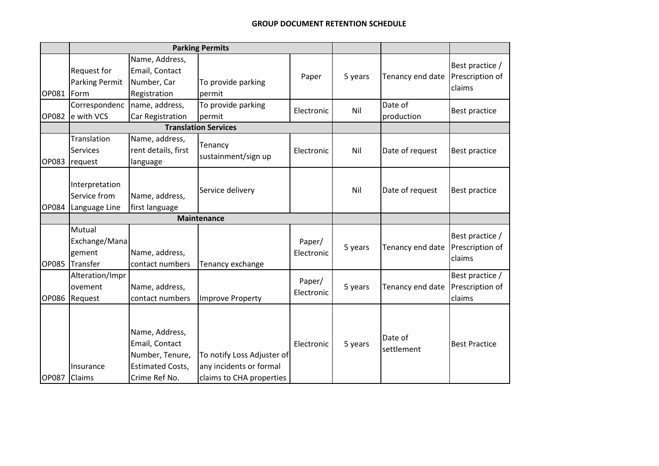|              | <b>Parking Permits</b>                          |                                                                                                 |                                                                                   |                      |         |                       |                                              |
|--------------|-------------------------------------------------|-------------------------------------------------------------------------------------------------|-----------------------------------------------------------------------------------|----------------------|---------|-----------------------|----------------------------------------------|
| OP081        | Request for<br><b>Parking Permit</b><br>Form    | Name, Address,<br>Email, Contact<br>Number, Car<br>Registration                                 | To provide parking<br>permit                                                      | Paper                | 5 years | Tenancy end date      | Best practice /<br>Prescription of<br>claims |
| OP082        | Correspondenc<br>e with VCS                     | name, address,<br><b>Car Registration</b>                                                       | To provide parking<br>permit                                                      | Electronic           | Nil     | Date of<br>production | <b>Best practice</b>                         |
|              | <b>Translation Services</b>                     |                                                                                                 |                                                                                   |                      |         |                       |                                              |
| OP083        | Translation<br><b>Services</b><br>request       | Name, address,<br>rent details, first<br>language                                               | Tenancy<br>sustainment/sign up                                                    | Electronic           | Nil     | Date of request       | <b>Best practice</b>                         |
| <b>OP084</b> | Interpretation<br>Service from<br>Language Line | Name, address,<br>first language                                                                | Service delivery                                                                  |                      | Nil     | Date of request       | <b>Best practice</b>                         |
|              |                                                 |                                                                                                 | <b>Maintenance</b>                                                                |                      |         |                       |                                              |
| <b>OP085</b> | Mutual<br>Exchange/Mana<br>gement<br>Transfer   | Name, address,<br>contact numbers                                                               | Tenancy exchange                                                                  | Paper/<br>Electronic | 5 years | Tenancy end date      | Best practice /<br>Prescription of<br>claims |
| <b>OP086</b> | Alteration/Impr<br>ovement<br>Request           | Name, address,<br>contact numbers                                                               | Improve Property                                                                  | Paper/<br>Electronic | 5 years | Tenancy end date      | Best practice /<br>Prescription of<br>claims |
| <b>OP087</b> | Insurance<br>Claims                             | Name, Address,<br>Email, Contact<br>Number, Tenure,<br><b>Estimated Costs,</b><br>Crime Ref No. | To notify Loss Adjuster of<br>any incidents or formal<br>claims to CHA properties | Electronic           | 5 years | Date of<br>settlement | <b>Best Practice</b>                         |